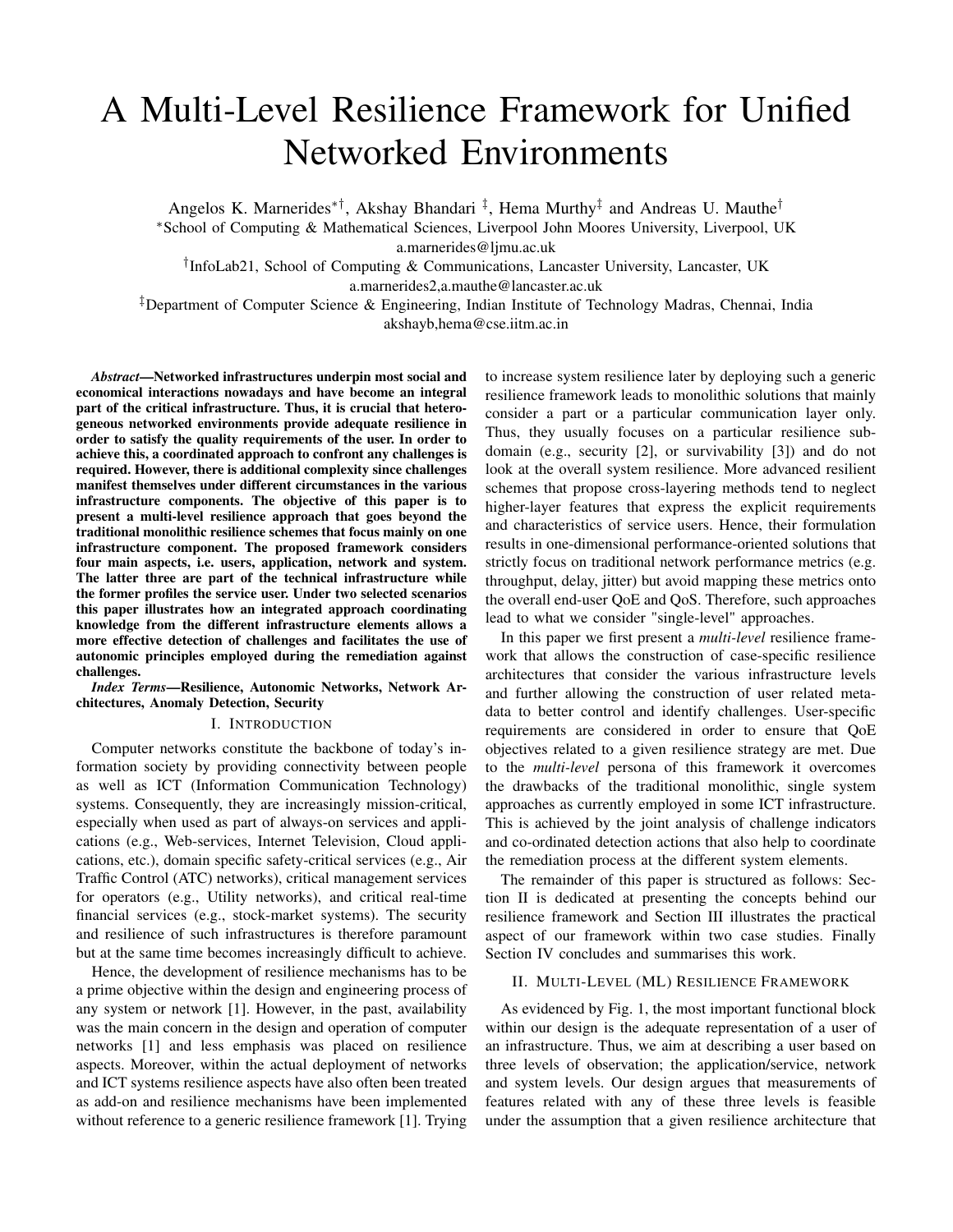# A Multi-Level Resilience Framework for Unified Networked Environments

Angelos K. Marnerides<sup>\*†</sup>, Akshay Bhandari<sup>‡</sup>, Hema Murthy<sup>‡</sup> and Andreas U. Mauthe<sup>†</sup>

<sup>∗</sup>School of Computing & Mathematical Sciences, Liverpool John Moores University, Liverpool, UK

a.marnerides@ljmu.ac.uk

† InfoLab21, School of Computing & Communications, Lancaster University, Lancaster, UK a.marnerides2,a.mauthe@lancaster.ac.uk

‡Department of Computer Science & Engineering, Indian Institute of Technology Madras, Chennai, India akshayb,hema@cse.iitm.ac.in

*Abstract*—Networked infrastructures underpin most social and economical interactions nowadays and have become an integral part of the critical infrastructure. Thus, it is crucial that heterogeneous networked environments provide adequate resilience in order to satisfy the quality requirements of the user. In order to achieve this, a coordinated approach to confront any challenges is required. However, there is additional complexity since challenges manifest themselves under different circumstances in the various infrastructure components. The objective of this paper is to present a multi-level resilience approach that goes beyond the traditional monolithic resilience schemes that focus mainly on one infrastructure component. The proposed framework considers four main aspects, i.e. users, application, network and system. The latter three are part of the technical infrastructure while the former profiles the service user. Under two selected scenarios this paper illustrates how an integrated approach coordinating knowledge from the different infrastructure elements allows a more effective detection of challenges and facilitates the use of autonomic principles employed during the remediation against challenges.

*Index Terms*—Resilience, Autonomic Networks, Network Architectures, Anomaly Detection, Security

### I. INTRODUCTION

Computer networks constitute the backbone of today's information society by providing connectivity between people as well as ICT (Information Communication Technology) systems. Consequently, they are increasingly mission-critical, especially when used as part of always-on services and applications (e.g., Web-services, Internet Television, Cloud applications, etc.), domain specific safety-critical services (e.g., Air Traffic Control (ATC) networks), critical management services for operators (e.g., Utility networks), and critical real-time financial services (e.g., stock-market systems). The security and resilience of such infrastructures is therefore paramount but at the same time becomes increasingly difficult to achieve.

Hence, the development of resilience mechanisms has to be a prime objective within the design and engineering process of any system or network [1]. However, in the past, availability was the main concern in the design and operation of computer networks [1] and less emphasis was placed on resilience aspects. Moreover, within the actual deployment of networks and ICT systems resilience aspects have also often been treated as add-on and resilience mechanisms have been implemented without reference to a generic resilience framework [1]. Trying to increase system resilience later by deploying such a generic resilience framework leads to monolithic solutions that mainly consider a part or a particular communication layer only. Thus, they usually focuses on a particular resilience subdomain (e.g., security [2], or survivability [3]) and do not look at the overall system resilience. More advanced resilient schemes that propose cross-layering methods tend to neglect higher-layer features that express the explicit requirements and characteristics of service users. Hence, their formulation results in one-dimensional performance-oriented solutions that strictly focus on traditional network performance metrics (e.g. throughput, delay, jitter) but avoid mapping these metrics onto the overall end-user QoE and QoS. Therefore, such approaches lead to what we consider "single-level" approaches.

In this paper we first present a *multi-level* resilience framework that allows the construction of case-specific resilience architectures that consider the various infrastructure levels and further allowing the construction of user related metadata to better control and identify challenges. User-specific requirements are considered in order to ensure that QoE objectives related to a given resilience strategy are met. Due to the *multi-level* persona of this framework it overcomes the drawbacks of the traditional monolithic, single system approaches as currently employed in some ICT infrastructure. This is achieved by the joint analysis of challenge indicators and co-ordinated detection actions that also help to coordinate the remediation process at the different system elements.

The remainder of this paper is structured as follows: Section II is dedicated at presenting the concepts behind our resilience framework and Section III illustrates the practical aspect of our framework within two case studies. Finally Section IV concludes and summarises this work.

## II. MULTI-LEVEL (ML) RESILIENCE FRAMEWORK

As evidenced by Fig. 1, the most important functional block within our design is the adequate representation of a user of an infrastructure. Thus, we aim at describing a user based on three levels of observation; the application/service, network and system levels. Our design argues that measurements of features related with any of these three levels is feasible under the assumption that a given resilience architecture that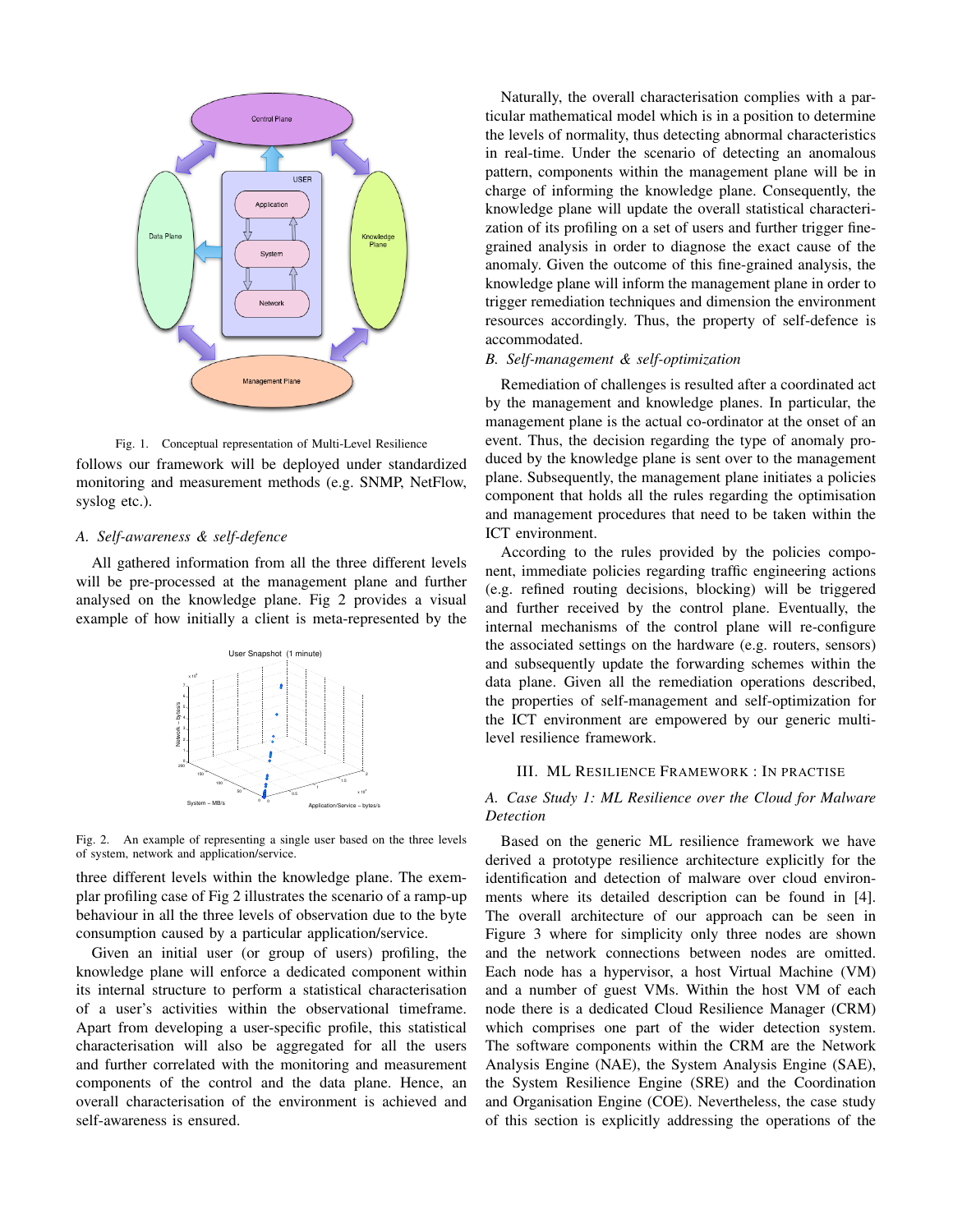

Fig. 1. Conceptual representation of Multi-Level Resilience follows our framework will be deployed under standardized monitoring and measurement methods (e.g. SNMP, NetFlow, syslog etc.).

# *A. Self-awareness & self-defence*

All gathered information from all the three different levels will be pre-processed at the management plane and further analysed on the knowledge plane. Fig 2 provides a visual example of how initially a client is meta-represented by the



Fig. 2. An example of representing a single user based on the three levels of system, network and application/service.

three different levels within the knowledge plane. The exemplar profiling case of Fig 2 illustrates the scenario of a ramp-up behaviour in all the three levels of observation due to the byte consumption caused by a particular application/service.

Given an initial user (or group of users) profiling, the knowledge plane will enforce a dedicated component within its internal structure to perform a statistical characterisation of a user's activities within the observational timeframe. Apart from developing a user-specific profile, this statistical characterisation will also be aggregated for all the users and further correlated with the monitoring and measurement components of the control and the data plane. Hence, an overall characterisation of the environment is achieved and self-awareness is ensured.

Naturally, the overall characterisation complies with a particular mathematical model which is in a position to determine the levels of normality, thus detecting abnormal characteristics in real-time. Under the scenario of detecting an anomalous pattern, components within the management plane will be in charge of informing the knowledge plane. Consequently, the knowledge plane will update the overall statistical characterization of its profiling on a set of users and further trigger finegrained analysis in order to diagnose the exact cause of the anomaly. Given the outcome of this fine-grained analysis, the knowledge plane will inform the management plane in order to trigger remediation techniques and dimension the environment resources accordingly. Thus, the property of self-defence is accommodated.

# *B. Self-management & self-optimization*

Remediation of challenges is resulted after a coordinated act by the management and knowledge planes. In particular, the management plane is the actual co-ordinator at the onset of an event. Thus, the decision regarding the type of anomaly produced by the knowledge plane is sent over to the management plane. Subsequently, the management plane initiates a policies component that holds all the rules regarding the optimisation and management procedures that need to be taken within the ICT environment.

According to the rules provided by the policies component, immediate policies regarding traffic engineering actions (e.g. refined routing decisions, blocking) will be triggered and further received by the control plane. Eventually, the internal mechanisms of the control plane will re-configure the associated settings on the hardware (e.g. routers, sensors) and subsequently update the forwarding schemes within the data plane. Given all the remediation operations described, the properties of self-management and self-optimization for the ICT environment are empowered by our generic multilevel resilience framework.

#### III. ML RESILIENCE FRAMEWORK : IN PRACTISE

# *A. Case Study 1: ML Resilience over the Cloud for Malware Detection*

Based on the generic ML resilience framework we have derived a prototype resilience architecture explicitly for the identification and detection of malware over cloud environments where its detailed description can be found in [4]. The overall architecture of our approach can be seen in Figure 3 where for simplicity only three nodes are shown and the network connections between nodes are omitted. Each node has a hypervisor, a host Virtual Machine (VM) and a number of guest VMs. Within the host VM of each node there is a dedicated Cloud Resilience Manager (CRM) which comprises one part of the wider detection system. The software components within the CRM are the Network Analysis Engine (NAE), the System Analysis Engine (SAE), the System Resilience Engine (SRE) and the Coordination and Organisation Engine (COE). Nevertheless, the case study of this section is explicitly addressing the operations of the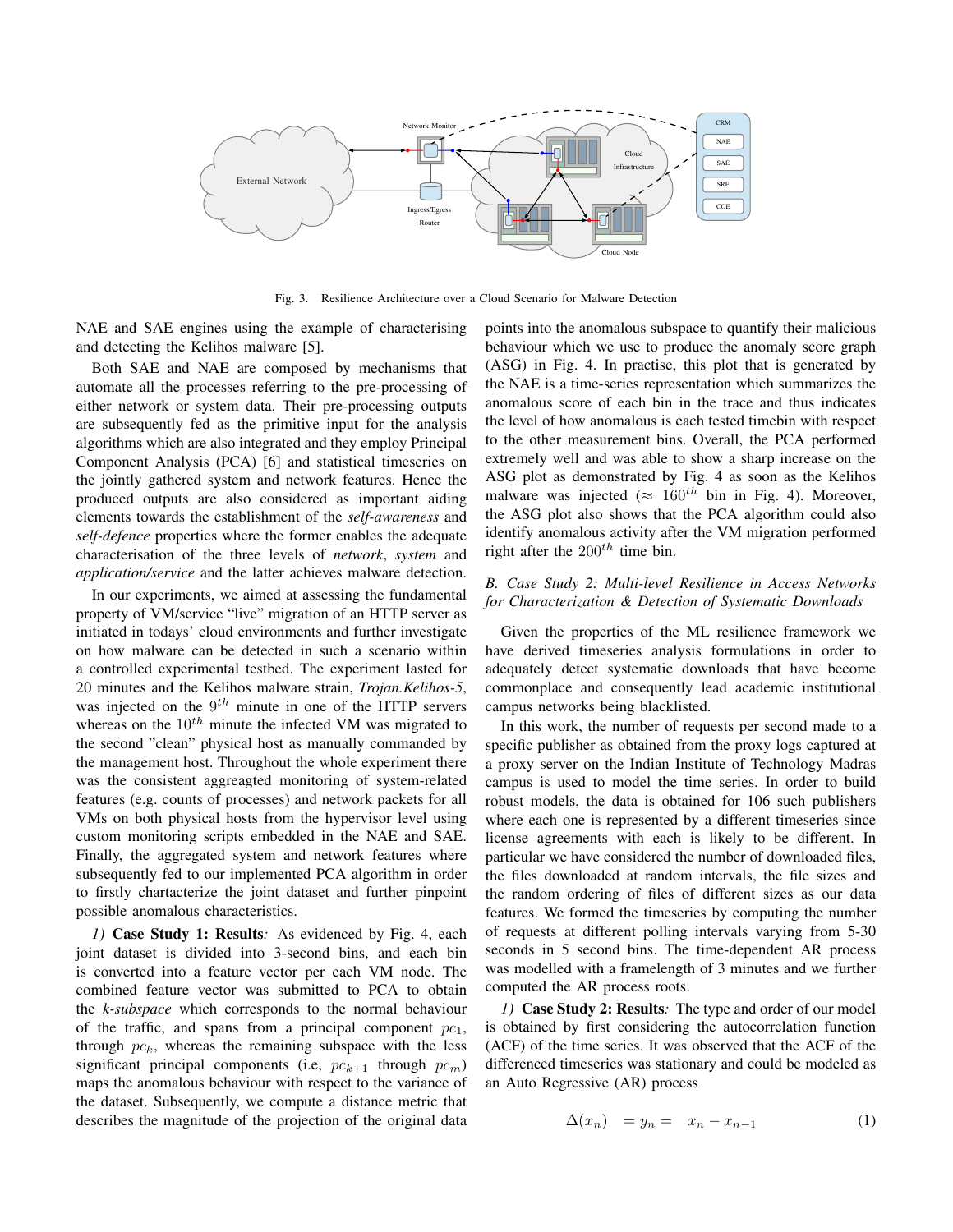

Fig. 3. Resilience Architecture over a Cloud Scenario for Malware Detection

NAE and SAE engines using the example of characterising and detecting the Kelihos malware [5].

Both SAE and NAE are composed by mechanisms that automate all the processes referring to the pre-processing of either network or system data. Their pre-processing outputs are subsequently fed as the primitive input for the analysis algorithms which are also integrated and they employ Principal Component Analysis (PCA) [6] and statistical timeseries on the jointly gathered system and network features. Hence the produced outputs are also considered as important aiding elements towards the establishment of the *self-awareness* and *self-defence* properties where the former enables the adequate characterisation of the three levels of *network*, *system* and *application/service* and the latter achieves malware detection.

In our experiments, we aimed at assessing the fundamental property of VM/service "live" migration of an HTTP server as initiated in todays' cloud environments and further investigate on how malware can be detected in such a scenario within a controlled experimental testbed. The experiment lasted for 20 minutes and the Kelihos malware strain, *Trojan.Kelihos-5*, was injected on the  $9^{th}$  minute in one of the HTTP servers whereas on the  $10^{th}$  minute the infected VM was migrated to the second "clean" physical host as manually commanded by the management host. Throughout the whole experiment there was the consistent aggreagted monitoring of system-related features (e.g. counts of processes) and network packets for all VMs on both physical hosts from the hypervisor level using custom monitoring scripts embedded in the NAE and SAE. Finally, the aggregated system and network features where subsequently fed to our implemented PCA algorithm in order to firstly chartacterize the joint dataset and further pinpoint possible anomalous characteristics.

*1)* Case Study 1: Results*:* As evidenced by Fig. 4, each joint dataset is divided into 3-second bins, and each bin is converted into a feature vector per each VM node. The combined feature vector was submitted to PCA to obtain the *k-subspace* which corresponds to the normal behaviour of the traffic, and spans from a principal component  $pc_1$ , through  $pc<sub>k</sub>$ , whereas the remaining subspace with the less significant principal components (i.e,  $pc_{k+1}$  through  $pc_m$ ) maps the anomalous behaviour with respect to the variance of the dataset. Subsequently, we compute a distance metric that describes the magnitude of the projection of the original data

points into the anomalous subspace to quantify their malicious behaviour which we use to produce the anomaly score graph (ASG) in Fig. 4. In practise, this plot that is generated by the NAE is a time-series representation which summarizes the anomalous score of each bin in the trace and thus indicates the level of how anomalous is each tested timebin with respect to the other measurement bins. Overall, the PCA performed extremely well and was able to show a sharp increase on the ASG plot as demonstrated by Fig. 4 as soon as the Kelihos malware was injected ( $\approx 160^{th}$  bin in Fig. 4). Moreover, the ASG plot also shows that the PCA algorithm could also identify anomalous activity after the VM migration performed right after the  $200^{th}$  time bin.

# *B. Case Study 2: Multi-level Resilience in Access Networks for Characterization & Detection of Systematic Downloads*

Given the properties of the ML resilience framework we have derived timeseries analysis formulations in order to adequately detect systematic downloads that have become commonplace and consequently lead academic institutional campus networks being blacklisted.

In this work, the number of requests per second made to a specific publisher as obtained from the proxy logs captured at a proxy server on the Indian Institute of Technology Madras campus is used to model the time series. In order to build robust models, the data is obtained for 106 such publishers where each one is represented by a different timeseries since license agreements with each is likely to be different. In particular we have considered the number of downloaded files, the files downloaded at random intervals, the file sizes and the random ordering of files of different sizes as our data features. We formed the timeseries by computing the number of requests at different polling intervals varying from 5-30 seconds in 5 second bins. The time-dependent AR process was modelled with a framelength of 3 minutes and we further computed the AR process roots.

*1)* Case Study 2: Results*:* The type and order of our model is obtained by first considering the autocorrelation function (ACF) of the time series. It was observed that the ACF of the differenced timeseries was stationary and could be modeled as an Auto Regressive (AR) process

$$
\Delta(x_n) = y_n = x_n - x_{n-1} \tag{1}
$$